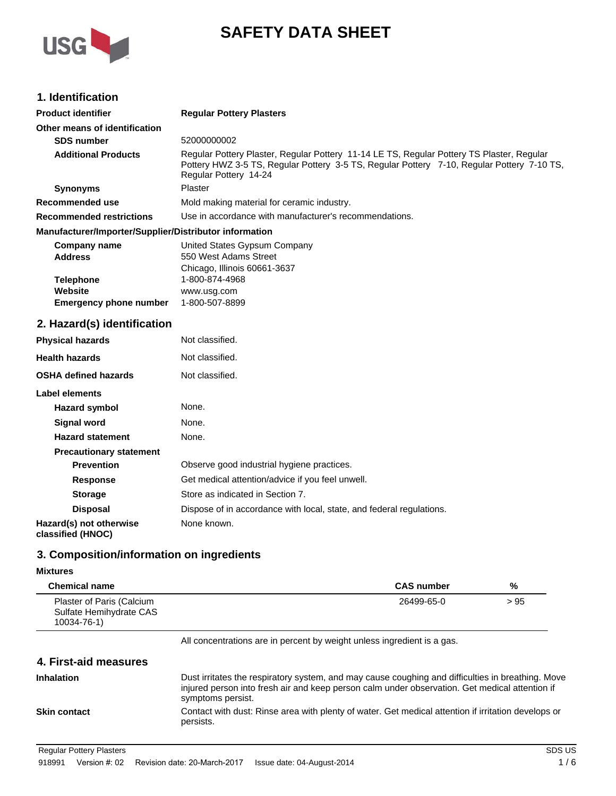

# **SAFETY DATA SHEET**

## **1. Identification**

| <b>Product identifier</b>                              | <b>Regular Pottery Plasters</b>                                                                                                                                                                                  |
|--------------------------------------------------------|------------------------------------------------------------------------------------------------------------------------------------------------------------------------------------------------------------------|
| Other means of identification                          |                                                                                                                                                                                                                  |
| <b>SDS number</b>                                      | 52000000002                                                                                                                                                                                                      |
| <b>Additional Products</b>                             | Regular Pottery Plaster, Regular Pottery 11-14 LE TS, Regular Pottery TS Plaster, Regular<br>Pottery HWZ 3-5 TS, Regular Pottery 3-5 TS, Regular Pottery 7-10, Regular Pottery 7-10 TS,<br>Regular Pottery 14-24 |
| <b>Synonyms</b>                                        | Plaster                                                                                                                                                                                                          |
| Recommended use                                        | Mold making material for ceramic industry.                                                                                                                                                                       |
| <b>Recommended restrictions</b>                        | Use in accordance with manufacturer's recommendations.                                                                                                                                                           |
| Manufacturer/Importer/Supplier/Distributor information |                                                                                                                                                                                                                  |
| Company name                                           | United States Gypsum Company                                                                                                                                                                                     |
| <b>Address</b>                                         | 550 West Adams Street                                                                                                                                                                                            |
|                                                        | Chicago, Illinois 60661-3637                                                                                                                                                                                     |
| <b>Telephone</b>                                       | 1-800-874-4968                                                                                                                                                                                                   |
| Website                                                | www.usg.com                                                                                                                                                                                                      |

## **2. Hazard(s) identification**

**Emergency phone number** 1-800-507-8899

| <b>Physical hazards</b>                      | Not classified.                                                      |
|----------------------------------------------|----------------------------------------------------------------------|
| <b>Health hazards</b>                        | Not classified.                                                      |
| <b>OSHA defined hazards</b>                  | Not classified.                                                      |
| Label elements                               |                                                                      |
| Hazard symbol                                | None.                                                                |
| <b>Signal word</b>                           | None.                                                                |
| <b>Hazard statement</b>                      | None.                                                                |
| <b>Precautionary statement</b>               |                                                                      |
| <b>Prevention</b>                            | Observe good industrial hygiene practices.                           |
| Response                                     | Get medical attention/advice if you feel unwell.                     |
| <b>Storage</b>                               | Store as indicated in Section 7.                                     |
| <b>Disposal</b>                              | Dispose of in accordance with local, state, and federal regulations. |
| Hazard(s) not otherwise<br>classified (HNOC) | None known.                                                          |

## **3. Composition/information on ingredients**

#### **Mixtures**

| <b>Chemical name</b>                                                | <b>CAS number</b> | %    |
|---------------------------------------------------------------------|-------------------|------|
| Plaster of Paris (Calcium<br>Sulfate Hemihydrate CAS<br>10034-76-1) | 26499-65-0        | > 95 |

All concentrations are in percent by weight unless ingredient is a gas.

## **4. First-aid measures**

| <b>Inhalation</b>   | Dust irritates the respiratory system, and may cause coughing and difficulties in breathing. Move<br>injured person into fresh air and keep person calm under observation. Get medical attention if<br>symptoms persist. |
|---------------------|--------------------------------------------------------------------------------------------------------------------------------------------------------------------------------------------------------------------------|
| <b>Skin contact</b> | Contact with dust: Rinse area with plenty of water. Get medical attention if irritation develops or<br>persists.                                                                                                         |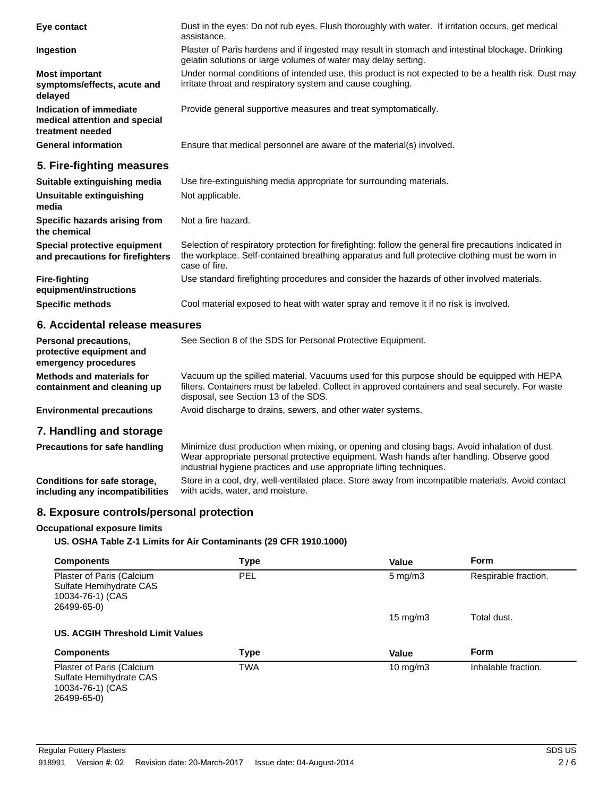| Eye contact                                                                  | Dust in the eyes: Do not rub eyes. Flush thoroughly with water. If irritation occurs, get medical<br>assistance.                                                                                                          |
|------------------------------------------------------------------------------|---------------------------------------------------------------------------------------------------------------------------------------------------------------------------------------------------------------------------|
| Ingestion                                                                    | Plaster of Paris hardens and if ingested may result in stomach and intestinal blockage. Drinking<br>gelatin solutions or large volumes of water may delay setting.                                                        |
| <b>Most important</b><br>symptoms/effects, acute and<br>delayed              | Under normal conditions of intended use, this product is not expected to be a health risk. Dust may<br>irritate throat and respiratory system and cause coughing.                                                         |
| Indication of immediate<br>medical attention and special<br>treatment needed | Provide general supportive measures and treat symptomatically.                                                                                                                                                            |
| <b>General information</b>                                                   | Ensure that medical personnel are aware of the material(s) involved.                                                                                                                                                      |
| 5. Fire-fighting measures                                                    |                                                                                                                                                                                                                           |
| Suitable extinguishing media                                                 | Use fire-extinguishing media appropriate for surrounding materials.                                                                                                                                                       |
| Unsuitable extinguishing<br>media                                            | Not applicable.                                                                                                                                                                                                           |
| Specific hazards arising from<br>the chemical                                | Not a fire hazard.                                                                                                                                                                                                        |
| Special protective equipment<br>and precautions for firefighters             | Selection of respiratory protection for firefighting: follow the general fire precautions indicated in<br>the workplace. Self-contained breathing apparatus and full protective clothing must be worn in<br>case of fire. |
| <b>Fire-fighting</b><br>equipment/instructions                               | Use standard firefighting procedures and consider the hazards of other involved materials.                                                                                                                                |
| <b>Specific methods</b>                                                      | Cool material exposed to heat with water spray and remove it if no risk is involved.                                                                                                                                      |
| 6. Accidental release measures                                               |                                                                                                                                                                                                                           |

| Personal precautions,<br>protective equipment and<br>emergency procedures | See Section 8 of the SDS for Personal Protective Equipment.                                                                                                                                                                                                     |
|---------------------------------------------------------------------------|-----------------------------------------------------------------------------------------------------------------------------------------------------------------------------------------------------------------------------------------------------------------|
| Methods and materials for<br>containment and cleaning up                  | Vacuum up the spilled material. Vacuums used for this purpose should be equipped with HEPA<br>filters. Containers must be labeled. Collect in approved containers and seal securely. For waste<br>disposal, see Section 13 of the SDS.                          |
| <b>Environmental precautions</b>                                          | Avoid discharge to drains, sewers, and other water systems.                                                                                                                                                                                                     |
| 7. Handling and storage                                                   |                                                                                                                                                                                                                                                                 |
| <b>Precautions for safe handling</b>                                      | Minimize dust production when mixing, or opening and closing bags. Avoid inhalation of dust.<br>Wear appropriate personal protective equipment. Wash hands after handling. Observe good<br>industrial hygiene practices and use appropriate lifting techniques. |
| Conditions for safe storage,<br>including any incompatibilities           | Store in a cool, dry, well-ventilated place. Store away from incompatible materials. Avoid contact<br>with acids, water, and moisture.                                                                                                                          |

## **8. Exposure controls/personal protection**

## **Occupational exposure limits**

**US. OSHA Table Z-1 Limits for Air Contaminants (29 CFR 1910.1000)**

| <b>Components</b>                                                                       | Type       | Value              | Form                 |
|-----------------------------------------------------------------------------------------|------------|--------------------|----------------------|
| Plaster of Paris (Calcium<br>Sulfate Hemihydrate CAS<br>10034-76-1) (CAS<br>26499-65-0) | PEL        | $5 \text{ mg/m}$ 3 | Respirable fraction. |
|                                                                                         |            | $15 \text{ mg/m}$  | Total dust.          |
| US. ACGIH Threshold Limit Values                                                        |            |                    |                      |
| <b>Components</b>                                                                       | Type       | Value              | Form                 |
| Plaster of Paris (Calcium<br>Sulfate Hemihydrate CAS<br>10034-76-1) (CAS<br>26499-65-0) | <b>TWA</b> | $10 \text{ mg/m}$  | Inhalable fraction.  |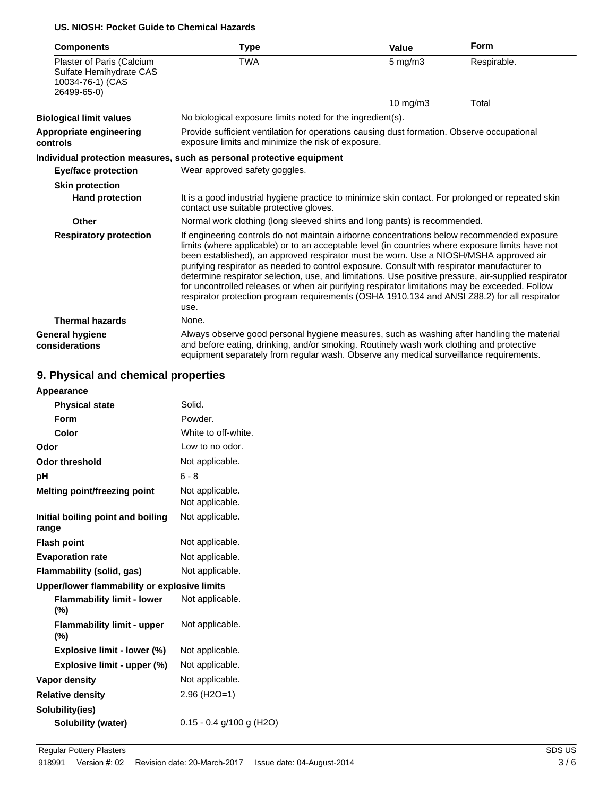### **US. NIOSH: Pocket Guide to Chemical Hazards**

| <b>Components</b>                                                                       | <b>Type</b>                                                                                                                                                                                                                                                                                                                                                                                                                                                                                                                                                                                                                                                                                              | <b>Value</b> | <b>Form</b> |
|-----------------------------------------------------------------------------------------|----------------------------------------------------------------------------------------------------------------------------------------------------------------------------------------------------------------------------------------------------------------------------------------------------------------------------------------------------------------------------------------------------------------------------------------------------------------------------------------------------------------------------------------------------------------------------------------------------------------------------------------------------------------------------------------------------------|--------------|-------------|
| Plaster of Paris (Calcium<br>Sulfate Hemihydrate CAS<br>10034-76-1) (CAS<br>26499-65-0) | <b>TWA</b>                                                                                                                                                                                                                                                                                                                                                                                                                                                                                                                                                                                                                                                                                               | $5$ mg/m $3$ | Respirable. |
|                                                                                         |                                                                                                                                                                                                                                                                                                                                                                                                                                                                                                                                                                                                                                                                                                          | 10 mg/m3     | Total       |
| <b>Biological limit values</b>                                                          | No biological exposure limits noted for the ingredient(s).                                                                                                                                                                                                                                                                                                                                                                                                                                                                                                                                                                                                                                               |              |             |
| Appropriate engineering<br>controls                                                     | Provide sufficient ventilation for operations causing dust formation. Observe occupational<br>exposure limits and minimize the risk of exposure.                                                                                                                                                                                                                                                                                                                                                                                                                                                                                                                                                         |              |             |
|                                                                                         | Individual protection measures, such as personal protective equipment                                                                                                                                                                                                                                                                                                                                                                                                                                                                                                                                                                                                                                    |              |             |
| <b>Eye/face protection</b>                                                              | Wear approved safety goggles.                                                                                                                                                                                                                                                                                                                                                                                                                                                                                                                                                                                                                                                                            |              |             |
| <b>Skin protection</b>                                                                  |                                                                                                                                                                                                                                                                                                                                                                                                                                                                                                                                                                                                                                                                                                          |              |             |
| <b>Hand protection</b>                                                                  | It is a good industrial hygiene practice to minimize skin contact. For prolonged or repeated skin<br>contact use suitable protective gloves.                                                                                                                                                                                                                                                                                                                                                                                                                                                                                                                                                             |              |             |
| Other                                                                                   | Normal work clothing (long sleeved shirts and long pants) is recommended.                                                                                                                                                                                                                                                                                                                                                                                                                                                                                                                                                                                                                                |              |             |
| <b>Respiratory protection</b>                                                           | If engineering controls do not maintain airborne concentrations below recommended exposure<br>limits (where applicable) or to an acceptable level (in countries where exposure limits have not<br>been established), an approved respirator must be worn. Use a NIOSH/MSHA approved air<br>purifying respirator as needed to control exposure. Consult with respirator manufacturer to<br>determine respirator selection, use, and limitations. Use positive pressure, air-supplied respirator<br>for uncontrolled releases or when air purifying respirator limitations may be exceeded. Follow<br>respirator protection program requirements (OSHA 1910.134 and ANSI Z88.2) for all respirator<br>use. |              |             |
| <b>Thermal hazards</b>                                                                  | None.                                                                                                                                                                                                                                                                                                                                                                                                                                                                                                                                                                                                                                                                                                    |              |             |
| <b>General hygiene</b><br>considerations                                                | Always observe good personal hygiene measures, such as washing after handling the material<br>and before eating, drinking, and/or smoking. Routinely wash work clothing and protective<br>equipment separately from regular wash. Observe any medical surveillance requirements.                                                                                                                                                                                                                                                                                                                                                                                                                         |              |             |

## **9. Physical and chemical properties**

| <b>Appearance</b>                            |                                    |
|----------------------------------------------|------------------------------------|
| <b>Physical state</b>                        | Solid.                             |
| Form                                         | Powder.                            |
| Color                                        | White to off-white.                |
| Odor                                         | Low to no odor.                    |
| Odor threshold                               | Not applicable.                    |
| рH                                           | $6 - 8$                            |
| <b>Melting point/freezing point</b>          | Not applicable.<br>Not applicable. |
| Initial boiling point and boiling<br>range   | Not applicable.                    |
| <b>Flash point</b>                           | Not applicable.                    |
| <b>Evaporation rate</b>                      | Not applicable.                    |
| Flammability (solid, gas)                    | Not applicable.                    |
| Upper/lower flammability or explosive limits |                                    |
| <b>Flammability limit - lower</b><br>(%)     | Not applicable.                    |
| <b>Flammability limit - upper</b><br>(%)     | Not applicable.                    |
| Explosive limit - lower (%)                  | Not applicable.                    |
| Explosive limit - upper (%)                  | Not applicable.                    |
| Vapor density                                | Not applicable.                    |
| <b>Relative density</b>                      | $2.96$ (H <sub>2</sub> O=1)        |
| Solubility(ies)                              |                                    |
| <b>Solubility (water)</b>                    | $0.15 - 0.4$ g/100 g (H2O)         |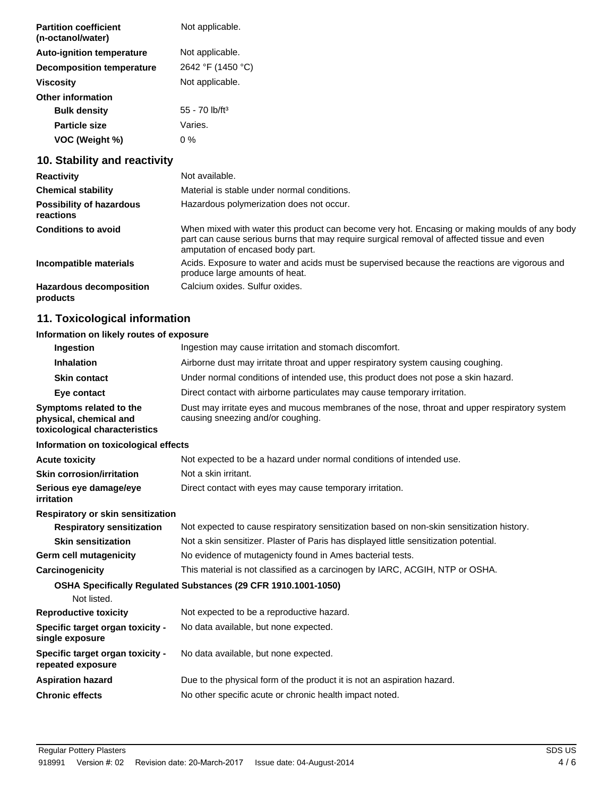| <b>Partition coefficient</b><br>(n-octanol/water) | Not applicable.              |
|---------------------------------------------------|------------------------------|
| <b>Auto-ignition temperature</b>                  | Not applicable.              |
| <b>Decomposition temperature</b>                  | 2642 °F (1450 °C)            |
| Viscosity                                         | Not applicable.              |
| <b>Other information</b>                          |                              |
| <b>Bulk density</b>                               | $55 - 70$ lb/ft <sup>3</sup> |
| <b>Particle size</b>                              | Varies.                      |
| VOC (Weight %)                                    | 0 %                          |

## **10. Stability and reactivity**

| <b>Reactivity</b>                            | Not available.                                                                                                                                                                                                                  |
|----------------------------------------------|---------------------------------------------------------------------------------------------------------------------------------------------------------------------------------------------------------------------------------|
| <b>Chemical stability</b>                    | Material is stable under normal conditions.                                                                                                                                                                                     |
| <b>Possibility of hazardous</b><br>reactions | Hazardous polymerization does not occur.                                                                                                                                                                                        |
| <b>Conditions to avoid</b>                   | When mixed with water this product can become very hot. Encasing or making moulds of any body<br>part can cause serious burns that may require surgical removal of affected tissue and even<br>amputation of encased body part. |
| Incompatible materials                       | Acids. Exposure to water and acids must be supervised because the reactions are vigorous and<br>produce large amounts of heat.                                                                                                  |
| <b>Hazardous decomposition</b><br>products   | Calcium oxides. Sulfur oxides.                                                                                                                                                                                                  |

## **11. Toxicological information**

## **Information on likely routes of exposure**

| Ingestion                                                                          | Ingestion may cause irritation and stomach discomfort.                                                                            |
|------------------------------------------------------------------------------------|-----------------------------------------------------------------------------------------------------------------------------------|
| <b>Inhalation</b>                                                                  | Airborne dust may irritate throat and upper respiratory system causing coughing.                                                  |
| <b>Skin contact</b>                                                                | Under normal conditions of intended use, this product does not pose a skin hazard.                                                |
| Eye contact                                                                        | Direct contact with airborne particulates may cause temporary irritation.                                                         |
| Symptoms related to the<br>physical, chemical and<br>toxicological characteristics | Dust may irritate eyes and mucous membranes of the nose, throat and upper respiratory system<br>causing sneezing and/or coughing. |
| Information on toxicological effects                                               |                                                                                                                                   |
| <b>Acute toxicity</b>                                                              | Not expected to be a hazard under normal conditions of intended use.                                                              |
| <b>Skin corrosion/irritation</b>                                                   | Not a skin irritant.                                                                                                              |
| Serious eye damage/eye<br>irritation                                               | Direct contact with eyes may cause temporary irritation.                                                                          |
| Respiratory or skin sensitization                                                  |                                                                                                                                   |
| <b>Respiratory sensitization</b>                                                   | Not expected to cause respiratory sensitization based on non-skin sensitization history.                                          |
| <b>Skin sensitization</b>                                                          | Not a skin sensitizer. Plaster of Paris has displayed little sensitization potential.                                             |
| Germ cell mutagenicity                                                             | No evidence of mutagenicty found in Ames bacterial tests.                                                                         |
| Carcinogenicity                                                                    | This material is not classified as a carcinogen by IARC, ACGIH, NTP or OSHA.                                                      |
| Not listed.                                                                        | OSHA Specifically Regulated Substances (29 CFR 1910.1001-1050)                                                                    |
| <b>Reproductive toxicity</b>                                                       | Not expected to be a reproductive hazard.                                                                                         |
| Specific target organ toxicity -<br>single exposure                                | No data available, but none expected.                                                                                             |
| Specific target organ toxicity -<br>repeated exposure                              | No data available, but none expected.                                                                                             |
| <b>Aspiration hazard</b>                                                           | Due to the physical form of the product it is not an aspiration hazard.                                                           |
| <b>Chronic effects</b>                                                             | No other specific acute or chronic health impact noted.                                                                           |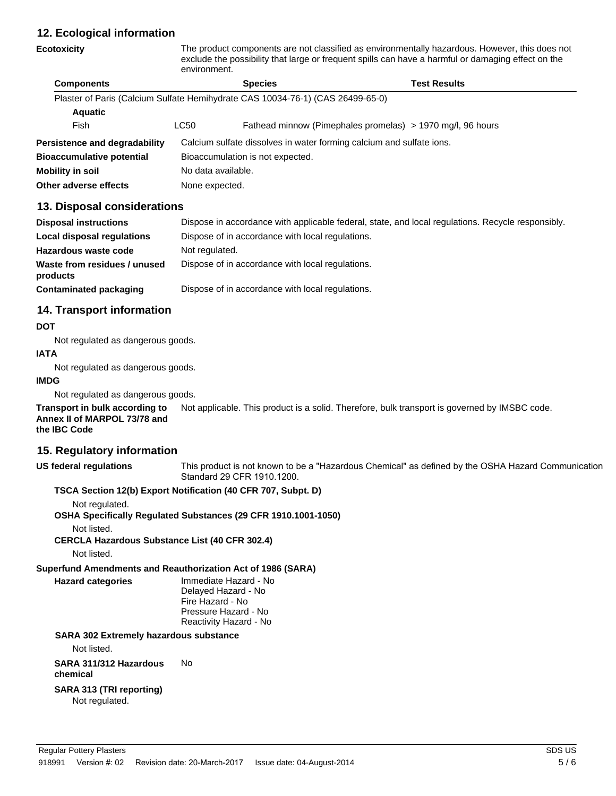## **12. Ecological information**

|                                  | exclude the possibility that large or frequent spills can have a harmful or damaging effect on the<br>environment. |                                                                                |                                                            |  |
|----------------------------------|--------------------------------------------------------------------------------------------------------------------|--------------------------------------------------------------------------------|------------------------------------------------------------|--|
| <b>Components</b>                |                                                                                                                    | <b>Species</b>                                                                 | <b>Test Results</b>                                        |  |
|                                  |                                                                                                                    | Plaster of Paris (Calcium Sulfate Hemihydrate CAS 10034-76-1) (CAS 26499-65-0) |                                                            |  |
| <b>Aquatic</b>                   |                                                                                                                    |                                                                                |                                                            |  |
| Fish                             | LC50                                                                                                               |                                                                                | Fathead minnow (Pimephales promelas) > 1970 mg/l, 96 hours |  |
| Persistence and degradability    | Calcium sulfate dissolves in water forming calcium and sulfate ions.                                               |                                                                                |                                                            |  |
| <b>Bioaccumulative potential</b> | Bioaccumulation is not expected.                                                                                   |                                                                                |                                                            |  |
| Mobility in soil                 | No data available.                                                                                                 |                                                                                |                                                            |  |
| Other adverse effects            | None expected.                                                                                                     |                                                                                |                                                            |  |

**Ecotoxicity** The product components are not classified as environmentally hazardous. However, this does not

## **13. Disposal considerations**

| <b>Disposal instructions</b>             | Dispose in accordance with applicable federal, state, and local regulations. Recycle responsibly. |
|------------------------------------------|---------------------------------------------------------------------------------------------------|
| Local disposal regulations               | Dispose of in accordance with local regulations.                                                  |
| Hazardous waste code                     | Not regulated.                                                                                    |
| Waste from residues / unused<br>products | Dispose of in accordance with local regulations.                                                  |
| Contaminated packaging                   | Dispose of in accordance with local regulations.                                                  |

## **14. Transport information**

### **DOT**

Not regulated as dangerous goods.

## **IATA**

Not regulated as dangerous goods.

### **IMDG**

Not regulated as dangerous goods.

**Transport in bulk according to** Not applicable. This product is a solid. Therefore, bulk transport is governed by IMSBC code. **Annex II of MARPOL 73/78 and the IBC Code**

## **15. Regulatory information**

**US federal regulations** This product is not known to be a "Hazardous Chemical" as defined by the OSHA Hazard Communication Standard 29 CFR 1910.1200.

## **TSCA Section 12(b) Export Notification (40 CFR 707, Subpt. D)**

Not regulated.

**OSHA Specifically Regulated Substances (29 CFR 1910.1001-1050)**

Not listed.

**CERCLA Hazardous Substance List (40 CFR 302.4)**

Not listed.

**Superfund Amendments and Reauthorization Act of 1986 (SARA)**

**Hazard categories** Immediate Hazard - No

Delayed Hazard - No Fire Hazard - No Pressure Hazard - No Reactivity Hazard - No

## **SARA 302 Extremely hazardous substance**

Not listed.

#### **SARA 311/312 Hazardous** No

**chemical**

## **SARA 313 (TRI reporting)**

Not regulated.